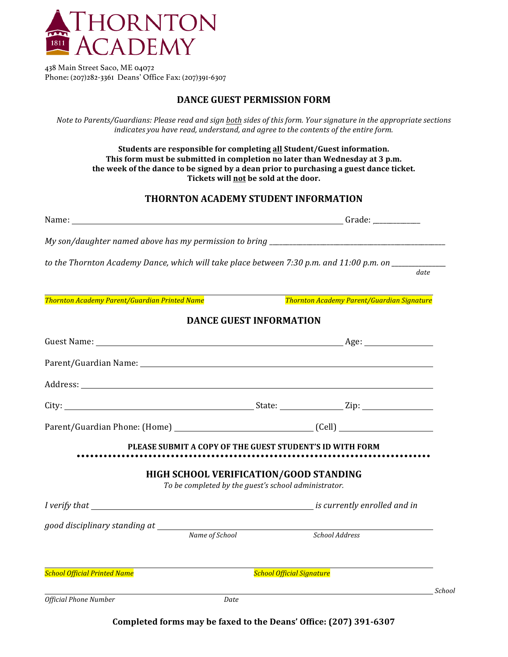

438 Main Street Saco, ME 04072 Phone: (207)282-3361 Deans' Office Fax: (207)391-6307

## **DANCE GUEST PERMISSION FORM**

*Note to Parents/Guardians: Please read and sign both sides of this form. Your signature in the appropriate sections indicates you have read, understand, and agree to the contents of the entire form.* 

**Students are responsible for completing all Student/Guest information.** This form must be submitted in completion no later than Wednesday at 3 p.m. the week of the dance to be signed by a dean prior to purchasing a guest dance ticket. Tickets will not be sold at the door.

## **THORNTON ACADEMY STUDENT INFORMATION**

|                                               |                                                                                                | to the Thornton Academy Dance, which will take place between 7:30 p.m. and 11:00 p.m. on |
|-----------------------------------------------|------------------------------------------------------------------------------------------------|------------------------------------------------------------------------------------------|
|                                               |                                                                                                | date                                                                                     |
| Thornton Academy Parent/Guardian Printed Name |                                                                                                | Thornton Academy Parent/Guardian Signature                                               |
|                                               | <b>DANCE GUEST INFORMATION</b>                                                                 |                                                                                          |
|                                               |                                                                                                |                                                                                          |
|                                               |                                                                                                |                                                                                          |
|                                               |                                                                                                |                                                                                          |
|                                               |                                                                                                |                                                                                          |
|                                               |                                                                                                |                                                                                          |
|                                               |                                                                                                | PLEASE SUBMIT A COPY OF THE GUEST STUDENT'S ID WITH FORM                                 |
|                                               | HIGH SCHOOL VERIFICATION/GOOD STANDING<br>To be completed by the guest's school administrator. |                                                                                          |
|                                               |                                                                                                |                                                                                          |
|                                               |                                                                                                |                                                                                          |
| good disciplinary standing at Name of School  |                                                                                                | School Address                                                                           |
| <b>School Official Printed Name</b>           |                                                                                                | <b>School Official Signature</b>                                                         |
| <b>Official Phone Number</b>                  | Date                                                                                           | School                                                                                   |

**Completed forms may be faxed to the Deans' Office: (207) 391-6307**